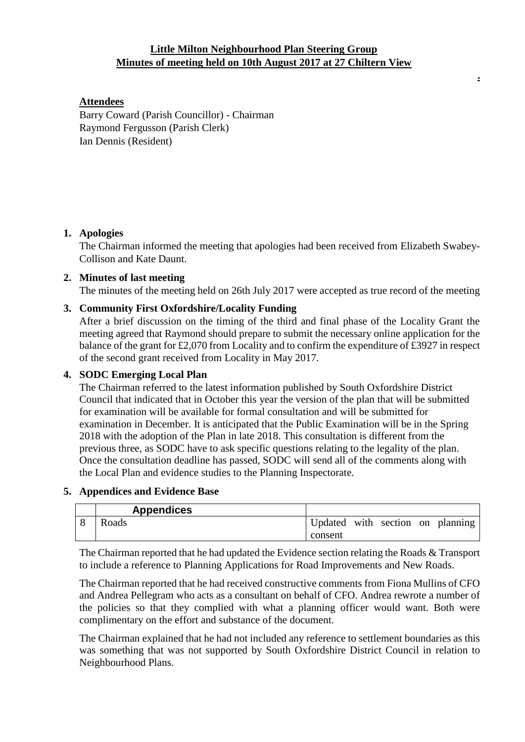## **Little Milton Neighbourhood Plan Steering Group Minutes of meeting held on 10th August 2017 at 27 Chiltern View**

**.**

## **Attendees**

Barry Coward (Parish Councillor) - Chairman Raymond Fergusson (Parish Clerk) Ian Dennis (Resident)

### **1. Apologies**

The Chairman informed the meeting that apologies had been received from Elizabeth Swabey-Collison and Kate Daunt.

### **2. Minutes of last meeting**

The minutes of the meeting held on 26th July 2017 were accepted as true record of the meeting

# **3. Community First Oxfordshire/Locality Funding**

After a brief discussion on the timing of the third and final phase of the Locality Grant the meeting agreed that Raymond should prepare to submit the necessary online application for the balance of the grant for £2,070 from Locality and to confirm the expenditure of £3927 in respect of the second grant received from Locality in May 2017.

### **4. SODC Emerging Local Plan**

The Chairman referred to the latest information published by South Oxfordshire District Council that indicated that in October this year the version of the plan that will be submitted for examination will be available for formal consultation and will be submitted for examination in December. It is anticipated that the Public Examination will be in the Spring 2018 with the adoption of the Plan in late 2018. This consultation is different from the previous three, as SODC have to ask specific questions relating to the legality of the plan. Once the consultation deadline has passed, SODC will send all of the comments along with the Local Plan and evidence studies to the Planning Inspectorate.

### **5. Appendices and Evidence Base**

| <b>Appendices</b> |         |  |                                  |
|-------------------|---------|--|----------------------------------|
| Roads             |         |  | Updated with section on planning |
|                   | consent |  |                                  |

The Chairman reported that he had updated the Evidence section relating the Roads & Transport to include a reference to Planning Applications for Road Improvements and New Roads.

The Chairman reported that he had received constructive comments from Fiona Mullins of CFO and Andrea Pellegram who acts as a consultant on behalf of CFO. Andrea rewrote a number of the policies so that they complied with what a planning officer would want. Both were complimentary on the effort and substance of the document.

The Chairman explained that he had not included any reference to settlement boundaries as this was something that was not supported by South Oxfordshire District Council in relation to Neighbourhood Plans.